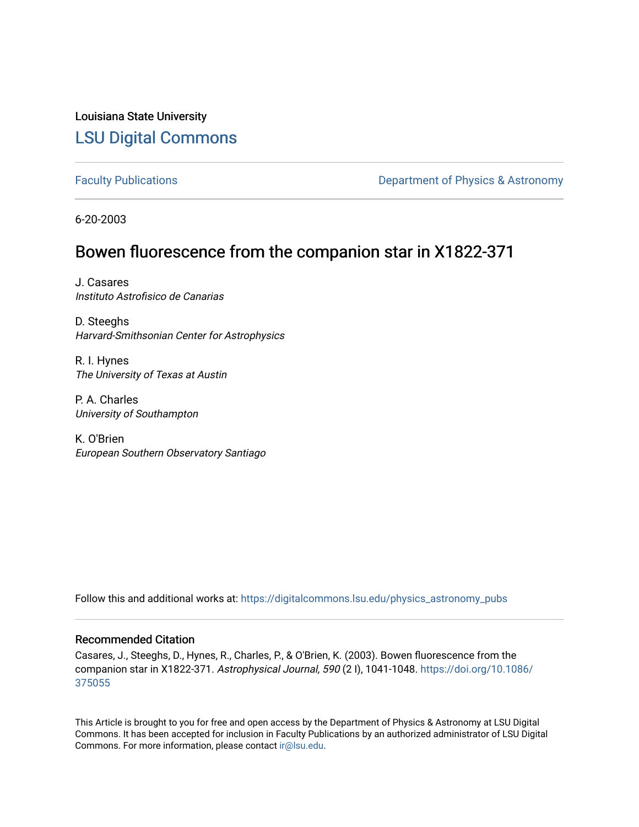Louisiana State University [LSU Digital Commons](https://digitalcommons.lsu.edu/)

[Faculty Publications](https://digitalcommons.lsu.edu/physics_astronomy_pubs) **Exercise 2 and Table 2 and Table 2 and Table 2 and Table 2 and Table 2 and Table 2 and Table 2 and Table 2 and Table 2 and Table 2 and Table 2 and Table 2 and Table 2 and Table 2 and Table 2 and Table** 

6-20-2003

# Bowen fluorescence from the companion star in X1822-371

J. Casares Instituto Astrofisico de Canarias

D. Steeghs Harvard-Smithsonian Center for Astrophysics

R. I. Hynes The University of Texas at Austin

P. A. Charles University of Southampton

K. O'Brien European Southern Observatory Santiago

Follow this and additional works at: [https://digitalcommons.lsu.edu/physics\\_astronomy\\_pubs](https://digitalcommons.lsu.edu/physics_astronomy_pubs?utm_source=digitalcommons.lsu.edu%2Fphysics_astronomy_pubs%2F2646&utm_medium=PDF&utm_campaign=PDFCoverPages) 

# Recommended Citation

Casares, J., Steeghs, D., Hynes, R., Charles, P., & O'Brien, K. (2003). Bowen fluorescence from the companion star in X1822-371. Astrophysical Journal, 590 (2 I), 1041-1048. [https://doi.org/10.1086/](https://doi.org/10.1086/375055) [375055](https://doi.org/10.1086/375055) 

This Article is brought to you for free and open access by the Department of Physics & Astronomy at LSU Digital Commons. It has been accepted for inclusion in Faculty Publications by an authorized administrator of LSU Digital Commons. For more information, please contact [ir@lsu.edu](mailto:ir@lsu.edu).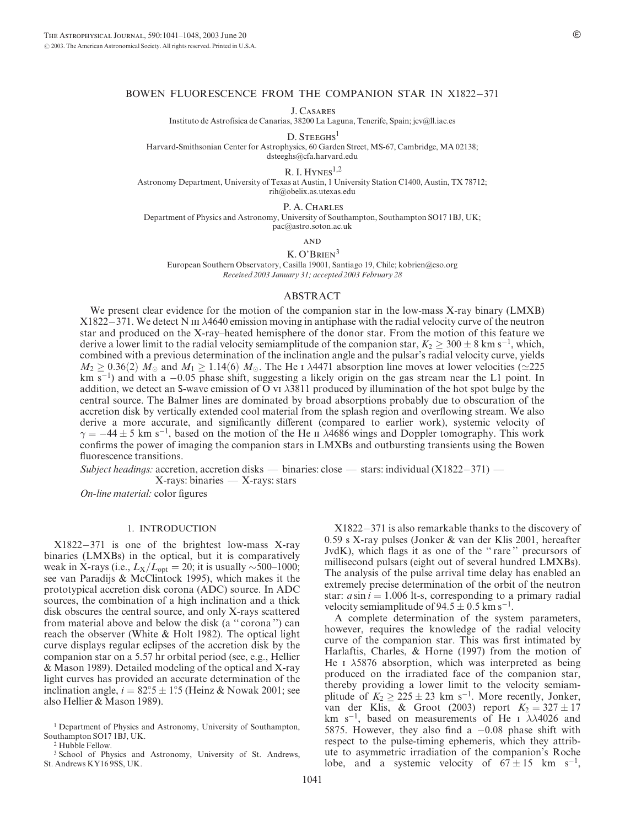## BOWEN FLUORESCENCE FROM THE COMPANION STAR IN X1822-371

J. Casares

Instituto de Astrofísica de Canarias, 38200 La Laguna, Tenerife, Spain; jcv@ll.iac.es

D. STEEGHS<sup>1</sup>

Harvard-Smithsonian Center for Astrophysics, 60 Garden Street, MS-67, Cambridge, MA 02138; dsteeghs@cfa.harvard.edu

R. I.  $HYNES^{1,2}$ 

Astronomy Department, University of Texas at Austin, 1 University Station C1400, Austin, TX 78712; rih@obelix.as.utexas.edu

P. A. Charles

Department of Physics and Astronomy, University of Southampton, Southampton SO17 1BJ, UK; pac@astro.soton.ac.uk

**AND** 

K. O'BRIEN<sup>3</sup>

European Southern Observatory, Casilla 19001, Santiago 19, Chile; kobrien@eso.org Received 2003 January 31; accepted 2003 February 28

#### ABSTRACT

We present clear evidence for the motion of the companion star in the low-mass X-ray binary (LMXB)  $X1822-371$ . We detect N III  $\lambda$ 4640 emission moving in antiphase with the radial velocity curve of the neutron star and produced on the X-ray–heated hemisphere of the donor star. From the motion of this feature we derive a lower limit to the radial velocity semiamplitude of the companion star,  $K_2 \geq 300 \pm 8$  km s<sup>-1</sup>, which, combined with a previous determination of the inclination angle and the pulsar's radial velocity curve, yields  $M_2 \ge 0.36(2)$   $M_0$  and  $M_1 \ge 1.14(6)$   $M_0$ . The He I  $\lambda$ 4471 absorption line moves at lower velocities ( $\simeq$ 225 km  $s^{-1}$ ) and with a -0.05 phase shift, suggesting a likely origin on the gas stream near the L1 point. In addition, we detect an S-wave emission of O vi  $\lambda$ 3811 produced by illumination of the hot spot bulge by the central source. The Balmer lines are dominated by broad absorptions probably due to obscuration of the accretion disk by vertically extended cool material from the splash region and overflowing stream. We also derive a more accurate, and significantly different (compared to earlier work), systemic velocity of  $\gamma = -44 \pm 5$  km s<sup>-1</sup>, based on the motion of the He II  $\lambda$ 4686 wings and Doppler tomography. This work confirms the power of imaging the companion stars in LMXBs and outbursting transients using the Bowen fluorescence transitions.

Subject headings: accretion, accretion disks — binaries: close — stars: individual  $(X1822-371)$  — X-rays: binaries — X-rays: stars

On-line material: color figures

### 1. INTRODUCTION

 $X1822-371$  is one of the brightest low-mass X-ray binaries (LMXBs) in the optical, but it is comparatively weak in X-rays (i.e.,  $L_X/L_{\text{opt}} = 20$ ; it is usually  $\sim 500-1000$ ; see van Paradijs & McClintock 1995), which makes it the prototypical accretion disk corona (ADC) source. In ADC sources, the combination of a high inclination and a thick disk obscures the central source, and only X-rays scattered from material above and below the disk (a '' corona '') can reach the observer (White & Holt 1982). The optical light curve displays regular eclipses of the accretion disk by the companion star on a 5.57 hr orbital period (see, e.g., Hellier & Mason 1989). Detailed modeling of the optical and X-ray light curves has provided an accurate determination of the inclination angle,  $i = 82^\circ 5 \pm 1^\circ 5$  (Heinz & Nowak 2001; see also Hellier & Mason 1989).

<sup>2</sup> Hubble Fellow.

<sup>3</sup> School of Physics and Astronomy, University of St. Andrews, St. Andrews KY16 9SS, UK.

 $X1822-371$  is also remarkable thanks to the discovery of 0.59 s X-ray pulses (Jonker & van der Klis 2001, hereafter JvdK), which flags it as one of the '' rare '' precursors of millisecond pulsars (eight out of several hundred LMXBs). The analysis of the pulse arrival time delay has enabled an extremely precise determination of the orbit of the neutron star:  $a \sin i = 1.006$  lt-s, corresponding to a primary radial velocity semiamplitude of 94.5  $\pm$  0.5 km s<sup>-1</sup>.

A complete determination of the system parameters, however, requires the knowledge of the radial velocity curve of the companion star. This was first intimated by Harlaftis, Charles, & Horne (1997) from the motion of He I  $\lambda$ 5876 absorption, which was interpreted as being produced on the irradiated face of the companion star, thereby providing a lower limit to the velocity semiamplitude of  $K_2 \ge 225 \pm 23$  km s<sup>-1</sup>. More recently, Jonker, van der Klis, & Groot (2003) report  $K_2 = 327 \pm 17$ km s<sup>-1</sup>, based on measurements of He I  $\lambda\lambda$ 4026 and 5875. However, they also find a  $-0.08$  phase shift with respect to the pulse-timing ephemeris, which they attribute to asymmetric irradiation of the companion's Roche lobe, and a systemic velocity of  $67 \pm 15$  km s<sup>-1</sup>,

<sup>1</sup> Department of Physics and Astronomy, University of Southampton, Southampton SO17 1BJ, UK.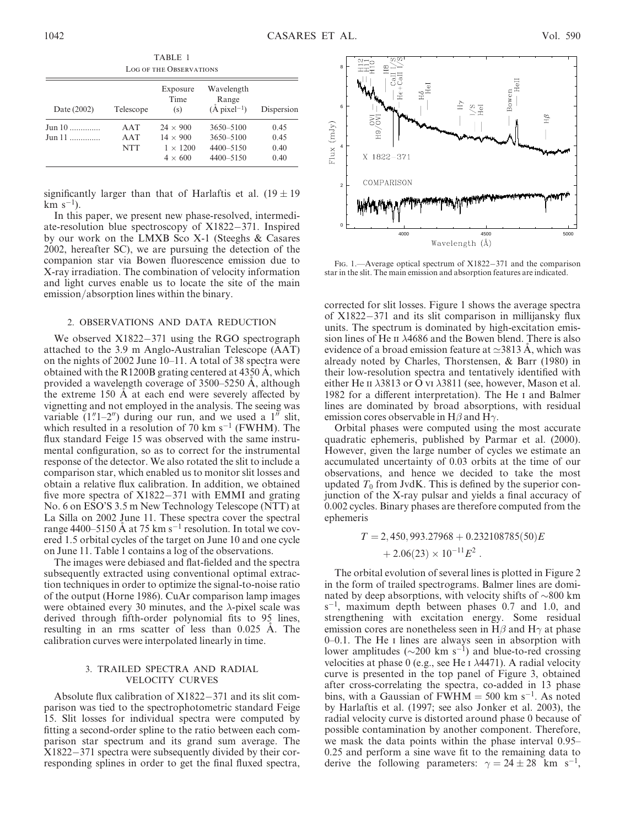| Date (2002)        | Telescope                | Exposure<br>Time<br>(s)                                                 | Wavelength<br>Range<br>$(\text{Å pixel}^{-1})$           | Dispersion                   |
|--------------------|--------------------------|-------------------------------------------------------------------------|----------------------------------------------------------|------------------------------|
| Jun 10<br>$Jun 11$ | AAT<br>AAT<br><b>NTT</b> | $24 \times 900$<br>$14 \times 900$<br>$1 \times 1200$<br>$4 \times 600$ | 3650-5100<br>3650-5100<br>$4400 - 5150$<br>$4400 - 5150$ | 0.45<br>0.45<br>0.40<br>0.40 |

TABLE 1 Log of the Observations

significantly larger than that of Harlaftis et al.  $(19 \pm 19)$  $km s^{-1}$ ).

In this paper, we present new phase-resolved, intermediate-resolution blue spectroscopy of  $X1822-371$ . Inspired by our work on the LMXB Sco X-1 (Steeghs & Casares 2002, hereafter SC), we are pursuing the detection of the companion star via Bowen fluorescence emission due to X-ray irradiation. The combination of velocity information and light curves enable us to locate the site of the main emission/absorption lines within the binary.

#### 2. OBSERVATIONS AND DATA REDUCTION

We observed  $X1822-371$  using the RGO spectrograph attached to the 3.9 m Anglo-Australian Telescope (AAT) on the nights of 2002 June 10–11. A total of 38 spectra were obtained with the R1200B grating centered at  $4350$  A, which provided a wavelength coverage of  $3500-5250$  Å, although the extreme  $150 \text{ Å}$  at each end were severely affected by vignetting and not employed in the analysis. The seeing was variable  $(1$ ".1–2") during our run, and we used a 1" slit, which resulted in a resolution of 70 km  $s^{-1}$  (FWHM). The flux standard Feige 15 was observed with the same instrumental configuration, so as to correct for the instrumental response of the detector. We also rotated the slit to include a comparison star, which enabled us to monitor slit losses and obtain a relative flux calibration. In addition, we obtained five more spectra of  $X1822-371$  with EMMI and grating No. 6 on ESO'S 3.5 m New Technology Telescope (NTT) at La Silla on 2002 June 11. These spectra cover the spectral range 4400–5150 Å at 75 km s<sup>-1</sup> resolution. In total we covered 1.5 orbital cycles of the target on June 10 and one cycle on June 11. Table 1 contains a log of the observations.

The images were debiased and flat-fielded and the spectra subsequently extracted using conventional optimal extraction techniques in order to optimize the signal-to-noise ratio of the output (Horne 1986). CuAr comparison lamp images were obtained every 30 minutes, and the  $\lambda$ -pixel scale was derived through fifth-order polynomial fits to 95 lines, resulting in an rms scatter of less than 0.025 A. The calibration curves were interpolated linearly in time.

#### 3. TRAILED SPECTRA AND RADIAL VELOCITY CURVES

Absolute flux calibration of  $X1822-371$  and its slit comparison was tied to the spectrophotometric standard Feige 15. Slit losses for individual spectra were computed by fitting a second-order spline to the ratio between each comparison star spectrum and its grand sum average. The  $X1822-371$  spectra were subsequently divided by their corresponding splines in order to get the final fluxed spectra,



Fig. 1.—Average optical spectrum of  $X1822-371$  and the comparison star in the slit. The main emission and absorption features are indicated.

corrected for slit losses. Figure 1 shows the average spectra of  $X1822-371$  and its slit comparison in millijansky flux units. The spectrum is dominated by high-excitation emission lines of He  $II$   $\lambda$ 4686 and the Bowen blend. There is also evidence of a broad emission feature at  $\simeq$ 3813 A, which was already noted by Charles, Thorstensen, & Barr (1980) in their low-resolution spectra and tentatively identified with either He II  $\lambda$ 3813 or O vI  $\lambda$ 3811 (see, however, Mason et al. 1982 for a different interpretation). The He i and Balmer lines are dominated by broad absorptions, with residual emission cores observable in H $\beta$  and H $\gamma$ .

Orbital phases were computed using the most accurate quadratic ephemeris, published by Parmar et al. (2000). However, given the large number of cycles we estimate an accumulated uncertainty of 0.03 orbits at the time of our observations, and hence we decided to take the most updated  $T_0$  from JvdK. This is defined by the superior conjunction of the X-ray pulsar and yields a final accuracy of 0.002 cycles. Binary phases are therefore computed from the ephemeris

$$
T = 2,450,993.27968 + 0.232108785(50)E
$$
  
+ 2.06(23) × 10<sup>-11</sup>E<sup>2</sup>.

The orbital evolution of several lines is plotted in Figure 2 in the form of trailed spectrograms. Balmer lines are dominated by deep absorptions, with velocity shifts of  $\sim 800$  km  $s^{-1}$ , maximum depth between phases 0.7 and 1.0, and strengthening with excitation energy. Some residual emission cores are nonetheless seen in  $H\beta$  and  $H\gamma$  at phase 0–0.1. The He i lines are always seen in absorption with lower amplitudes ( $\sim$ 200 km s<sup>-1</sup>) and blue-to-red crossing velocities at phase  $0$  (e.g., see He I  $\lambda$ 4471). A radial velocity curve is presented in the top panel of Figure 3, obtained after cross-correlating the spectra, co-added in 13 phase bins, with a Gaussian of  $FWHM = 500$  km s<sup>-1</sup>. As noted by Harlaftis et al. (1997; see also Jonker et al. 2003), the radial velocity curve is distorted around phase 0 because of possible contamination by another component. Therefore, we mask the data points within the phase interval 0.95– 0.25 and perform a sine wave fit to the remaining data to derive the following parameters:  $\gamma = 24 \pm 28$  km s<sup>-1</sup>,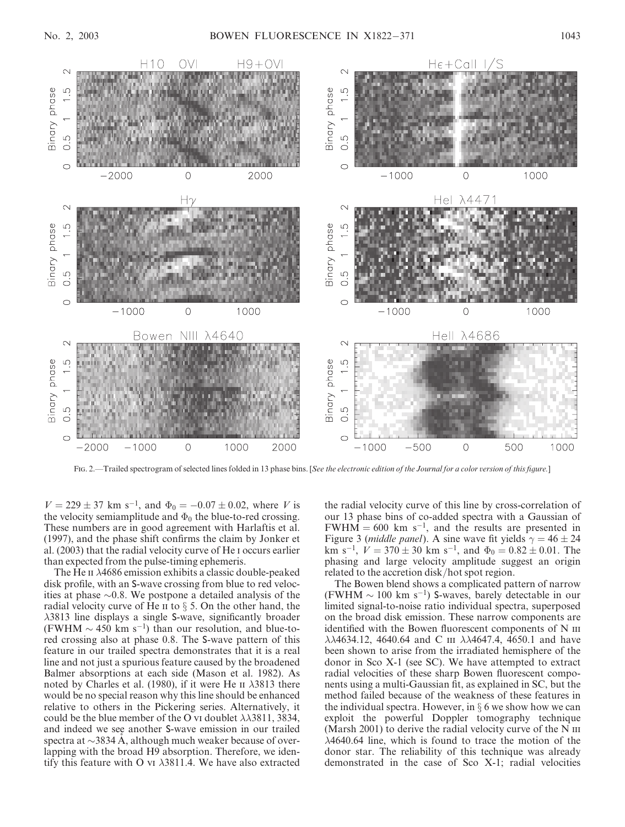

Fig. 2.—Trailed spectrogram of selected lines folded in 13 phase bins. [See the electronic edition of the Journal for a color version of this figure.]

 $V = 229 \pm 37$  km s<sup>-1</sup>, and  $\Phi_0 = -0.07 \pm 0.02$ , where V is the velocity semiamplitude and  $\Phi_0$  the blue-to-red crossing. These numbers are in good agreement with Harlaftis et al. (1997), and the phase shift confirms the claim by Jonker et al. (2003) that the radial velocity curve of He i occurs earlier than expected from the pulse-timing ephemeris.

The He  $\mu$   $\lambda$ 4686 emission exhibits a classic double-peaked disk profile, with an S-wave crossing from blue to red velocities at phase  $\sim 0.8$ . We postpone a detailed analysis of the radial velocity curve of He  $\pi$  to  $\S$  5. On the other hand, the  $\lambda$ 3813 line displays a single S-wave, significantly broader (FWHM  $\sim$  450 km s<sup>-1</sup>) than our resolution, and blue-tored crossing also at phase 0.8. The S-wave pattern of this feature in our trailed spectra demonstrates that it is a real line and not just a spurious feature caused by the broadened Balmer absorptions at each side (Mason et al. 1982). As noted by Charles et al. (1980), if it were He  $\pi$   $\lambda$ 3813 there would be no special reason why this line should be enhanced relative to others in the Pickering series. Alternatively, it could be the blue member of the O vi doublet  $\lambda \lambda$ 3811, 3834, and indeed we see another S-wave emission in our trailed spectra at  $\sim$ 3834 A, although much weaker because of overlapping with the broad H9 absorption. Therefore, we identify this feature with O vi  $\lambda$ 3811.4. We have also extracted the radial velocity curve of this line by cross-correlation of our 13 phase bins of co-added spectra with a Gaussian of FWHM = 600 km s<sup>-1</sup>, and the results are presented in Figure 3 (*middle panel*). A sine wave fit yields  $\gamma = 46 \pm 24$ km s<sup>-1</sup>,  $\dot{V} = 370 \pm 30$  km s<sup>-1</sup>, and  $\Phi_0 = 0.82 \pm 0.01$ . The phasing and large velocity amplitude suggest an origin related to the accretion disk/hot spot region.

The Bowen blend shows a complicated pattern of narrow (FWHM  $\sim$  100 km s<sup>-1</sup>) S-waves, barely detectable in our limited signal-to-noise ratio individual spectra, superposed on the broad disk emission. These narrow components are identified with the Bowen fluorescent components of N III  $\lambda\lambda$ 4634.12, 4640.64 and C III  $\lambda\lambda$ 4647.4, 4650.1 and have been shown to arise from the irradiated hemisphere of the donor in Sco X-1 (see SC). We have attempted to extract radial velocities of these sharp Bowen fluorescent components using a multi-Gaussian fit, as explained in SC, but the method failed because of the weakness of these features in the individual spectra. However, in  $\S 6$  we show how we can exploit the powerful Doppler tomography technique (Marsh 2001) to derive the radial velocity curve of the N  $\scriptstyle\rm III$  $\lambda$ 4640.64 line, which is found to trace the motion of the donor star. The reliability of this technique was already demonstrated in the case of Sco X-1; radial velocities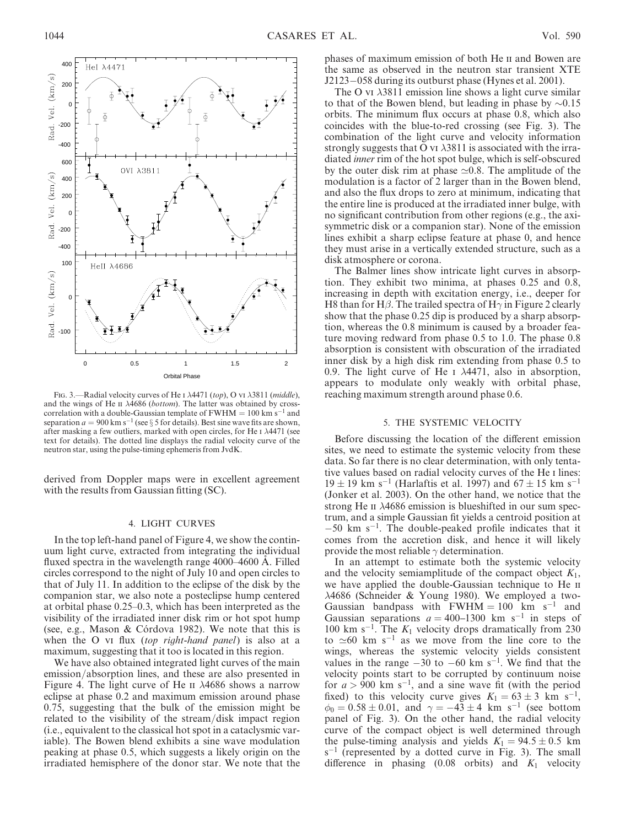

FIG. 3.—Radial velocity curves of He I  $\lambda$ 4471 (top), O vI  $\lambda$ 3811 (middle), and the wings of He  $\text{II}$   $\lambda$ 4686 (bottom). The latter was obtained by crosscorrelation with a double-Gaussian template of  $FWHM = 100$  km s<sup>-1</sup> and separation  $a = 900 \text{ km s}^{-1}$  (see § 5 for details). Best sine wave fits are shown, after masking a few outliers, marked with open circles, for He  $I$   $\lambda$ 4471 (see text for details). The dotted line displays the radial velocity curve of the neutron star, using the pulse-timing ephemeris from JvdK.

derived from Doppler maps were in excellent agreement with the results from Gaussian fitting (SC).

#### 4. LIGHT CURVES

In the top left-hand panel of Figure 4, we show the continuum light curve, extracted from integrating the individual fluxed spectra in the wavelength range  $4000-4600$  A. Filled circles correspond to the night of July 10 and open circles to that of July 11. In addition to the eclipse of the disk by the companion star, we also note a posteclipse hump centered at orbital phase 0.25–0.3, which has been interpreted as the visibility of the irradiated inner disk rim or hot spot hump (see, e.g., Mason & Córdova 1982). We note that this is when the O vi flux (top right-hand panel) is also at a maximum, suggesting that it too is located in this region.

We have also obtained integrated light curves of the main emission/absorption lines, and these are also presented in Figure 4. The light curve of He  $\pi$   $\lambda$ 4686 shows a narrow eclipse at phase 0.2 and maximum emission around phase 0.75, suggesting that the bulk of the emission might be related to the visibility of the stream/disk impact region (i.e., equivalent to the classical hot spot in a cataclysmic variable). The Bowen blend exhibits a sine wave modulation peaking at phase 0.5, which suggests a likely origin on the irradiated hemisphere of the donor star. We note that the

phases of maximum emission of both He ii and Bowen are the same as observed in the neutron star transient XTE J2123–058 during its outburst phase (Hynes et al. 2001).

The O vi  $\lambda$ 3811 emission line shows a light curve similar to that of the Bowen blend, but leading in phase by  $\sim 0.15$ orbits. The minimum flux occurs at phase 0.8, which also coincides with the blue-to-red crossing (see Fig. 3). The combination of the light curve and velocity information strongly suggests that O vi  $\lambda$ 3811 is associated with the irradiated inner rim of the hot spot bulge, which is self-obscured by the outer disk rim at phase  $\simeq 0.8$ . The amplitude of the modulation is a factor of 2 larger than in the Bowen blend, and also the flux drops to zero at minimum, indicating that the entire line is produced at the irradiated inner bulge, with no significant contribution from other regions (e.g., the axisymmetric disk or a companion star). None of the emission lines exhibit a sharp eclipse feature at phase 0, and hence they must arise in a vertically extended structure, such as a disk atmosphere or corona.

The Balmer lines show intricate light curves in absorption. They exhibit two minima, at phases 0.25 and 0.8, increasing in depth with excitation energy, i.e., deeper for H8 than for H $\beta$ . The trailed spectra of H $\gamma$  in Figure 2 clearly show that the phase 0.25 dip is produced by a sharp absorption, whereas the 0.8 minimum is caused by a broader feature moving redward from phase 0.5 to 1.0. The phase 0.8 absorption is consistent with obscuration of the irradiated inner disk by a high disk rim extending from phase 0.5 to 0.9. The light curve of He  $\alpha$   $\lambda$ 4471, also in absorption, appears to modulate only weakly with orbital phase, reaching maximum strength around phase 0.6.

#### 5. THE SYSTEMIC VELOCITY

Before discussing the location of the different emission sites, we need to estimate the systemic velocity from these data. So far there is no clear determination, with only tentative values based on radial velocity curves of the He i lines:  $19 \pm 19$  km s<sup>-1</sup> (Harlaftis et al. 1997) and  $67 \pm 15$  km s<sup>-1</sup> (Jonker et al. 2003). On the other hand, we notice that the strong He  $\text{II}$   $\lambda$ 4686 emission is blueshifted in our sum spectrum, and a simple Gaussian fit yields a centroid position at  $-50$  km s<sup>-1</sup>. The double-peaked profile indicates that it comes from the accretion disk, and hence it will likely provide the most reliable  $\gamma$  determination.

In an attempt to estimate both the systemic velocity and the velocity semiamplitude of the compact object  $K_1$ , we have applied the double-Gaussian technique to He ii 4686 (Schneider & Young 1980). We employed a two-Gaussian bandpass with  $FWHM = 100$  km s<sup>-1</sup> and Gaussian separations  $a = 400-1300$  km s<sup>-1</sup> in steps of 100 km s<sup>-1</sup>. The  $K_1$  velocity drops dramatically from 230 to  $\simeq 60$  km s<sup>-1</sup> as we move from the line core to the wings, whereas the systemic velocity yields consistent values in the range  $-30$  to  $-60$  km s<sup>-1</sup>. We find that the velocity points start to be corrupted by continuum noise for  $a > 900$  km s<sup>-1</sup>, and a sine wave fit (with the period fixed) to this velocity curve gives  $K_1 = 63 \pm 3$  km s<sup>-1</sup>,  $\phi_0 = 0.58 \pm 0.01$ , and  $\gamma = -43 \pm 4$  km s<sup>-1</sup> (see bottom panel of Fig. 3). On the other hand, the radial velocity curve of the compact object is well determined through the pulse-timing analysis and yields  $K_1 = 94.5 \pm 0.5$  km  $s^{-1}$  (represented by a dotted curve in Fig. 3). The small difference in phasing  $(0.08 \text{ orbits})$  and  $K_1$  velocity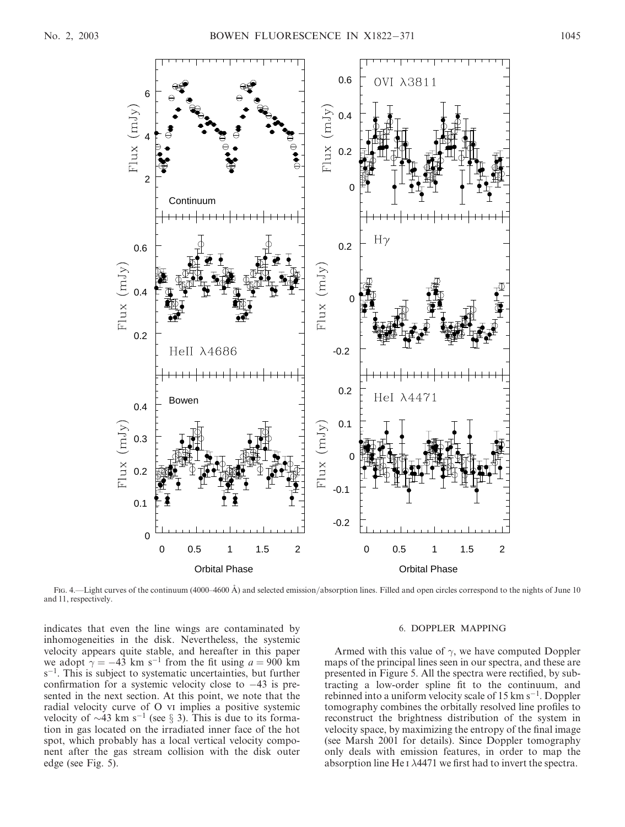

Fig. 4.—Light curves of the continuum (4000–4600 Å) and selected emission/absorption lines. Filled and open circles correspond to the nights of June 10 and 11, respectively.

indicates that even the line wings are contaminated by inhomogeneities in the disk. Nevertheless, the systemic velocity appears quite stable, and hereafter in this paper we adopt  $\gamma = -43$  km s<sup>-1</sup> from the fit using  $a = 900$  km  $s^{-1}$ . This is subject to systematic uncertainties, but further confirmation for a systemic velocity close to  $-43$  is presented in the next section. At this point, we note that the radial velocity curve of O vi implies a positive systemic velocity of  $\sim$ 43 km s<sup>-1</sup> (see § 3). This is due to its formation in gas located on the irradiated inner face of the hot spot, which probably has a local vertical velocity component after the gas stream collision with the disk outer edge (see Fig. 5).

#### 6. DOPPLER MAPPING

Armed with this value of  $\gamma$ , we have computed Doppler maps of the principal lines seen in our spectra, and these are presented in Figure 5. All the spectra were rectified, by subtracting a low-order spline fit to the continuum, and rebinned into a uniform velocity scale of 15 km  $s^{-1}$ . Doppler tomography combines the orbitally resolved line profiles to reconstruct the brightness distribution of the system in velocity space, by maximizing the entropy of the final image (see Marsh 2001 for details). Since Doppler tomography only deals with emission features, in order to map the absorption line He  $I$   $\lambda$ 4471 we first had to invert the spectra.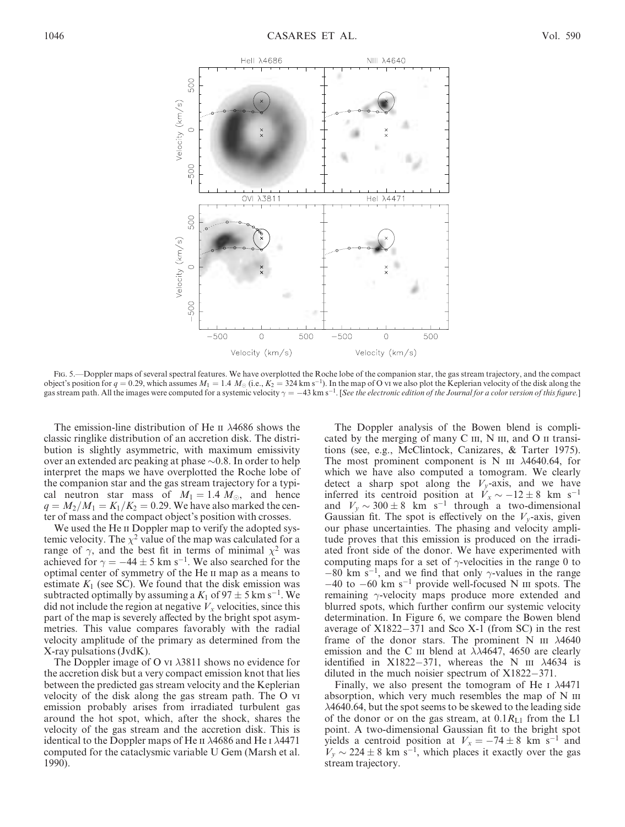

Fig. 5.—Doppler maps of several spectral features. We have overplotted the Roche lobe of the companion star, the gas stream trajectory, and the compact object's position for  $q = 0.29$ , which assumes  $M_1 = 1.4 M_0$  (i.e.,  $K_2 = 324 \text{ km s}^{-1}$ ). In the map of O vi we also plot the Keplerian velocity of the disk along the gas stream path. All the images were computed for a systemic velocity  $\gamma = -43$  km s<sup>-1</sup>. [See the electronic edition of the Journal for a color version of this figure.]

The emission-line distribution of He  $\text{II}$   $\lambda$ 4686 shows the classic ringlike distribution of an accretion disk. The distribution is slightly asymmetric, with maximum emissivity over an extended arc peaking at phase  $\sim 0.8$ . In order to help interpret the maps we have overplotted the Roche lobe of the companion star and the gas stream trajectory for a typical neutron star mass of  $M_1 = 1.4$   $M_{\odot}$ , and hence  $q = M_2/M_1 = K_1/K_2 = 0.29$ . We have also marked the center of mass and the compact object's position with crosses.

We used the He II Doppler map to verify the adopted systemic velocity. The  $\chi^2$  value of the map was calculated for a range of  $\gamma$ , and the best fit in terms of minimal  $\chi^2$  was achieved for  $\gamma = -44 \pm 5$  km s<sup>-1</sup>. We also searched for the optimal center of symmetry of the He ii map as a means to estimate  $K_1$  (see SC). We found that the disk emission was subtracted optimally by assuming a  $K_1$  of 97  $\pm$  5 km s<sup>-1</sup>. We did not include the region at negative  $V_x$  velocities, since this part of the map is severely affected by the bright spot asymmetries. This value compares favorably with the radial velocity amplitude of the primary as determined from the X-ray pulsations (JvdK).

The Doppler image of O vi  $\lambda$ 3811 shows no evidence for the accretion disk but a very compact emission knot that lies between the predicted gas stream velocity and the Keplerian velocity of the disk along the gas stream path. The O vi emission probably arises from irradiated turbulent gas around the hot spot, which, after the shock, shares the velocity of the gas stream and the accretion disk. This is identical to the Doppler maps of He  $\pi$   $\lambda$ 4686 and He  $\pi$   $\lambda$ 4471 computed for the cataclysmic variable U Gem (Marsh et al. 1990).

The Doppler analysis of the Bowen blend is complicated by the merging of many C  $III$ , N  $III$ , and O  $II$  transitions (see, e.g., McClintock, Canizares, & Tarter 1975). The most prominent component is N  $\text{III}$   $\lambda$ 4640.64, for which we have also computed a tomogram. We clearly detect a sharp spot along the  $V_y$ -axis, and we have inferred its centroid position at  $\dot{V}_x \sim -12 \pm 8$  km s<sup>-1</sup> and  $V_y \sim 300 \pm 8$  km s<sup>-1</sup> through a two-dimensional Gaussian fit. The spot is effectively on the  $V<sub>v</sub>$ -axis, given our phase uncertainties. The phasing and velocity amplitude proves that this emission is produced on the irradiated front side of the donor. We have experimented with computing maps for a set of  $\gamma$ -velocities in the range 0 to  $-80$  km s<sup>-1</sup>, and we find that only  $\gamma$ -values in the range  $-40$  to  $-60$  km s<sup>-1</sup> provide well-focused N iii spots. The remaining  $\gamma$ -velocity maps produce more extended and blurred spots, which further confirm our systemic velocity determination. In Figure 6, we compare the Bowen blend average of  $X1822-371$  and Sco X-1 (from SC) in the rest frame of the donor stars. The prominent N  $\text{III}$   $\lambda$ 4640 emission and the C III blend at  $\lambda\lambda$ 4647, 4650 are clearly identified in X1822-371, whereas the N  $\text{III}$   $\lambda$ 4634 is diluted in the much noisier spectrum of  $X1822-371$ .

Finally, we also present the tomogram of He I  $\lambda$ 4471 absorption, which very much resembles the map of N  $\scriptstyle\rm III$ 4640.64, but the spot seems to be skewed to the leading side of the donor or on the gas stream, at  $0.1R_{L1}$  from the L1 point. A two-dimensional Gaussian fit to the bright spot yields a centroid position at  $V_x = -74 \pm 8$  km s<sup>-1</sup> and  $V_y \sim 224 \pm 8$  km s<sup>-1</sup>, which places it exactly over the gas stream trajectory.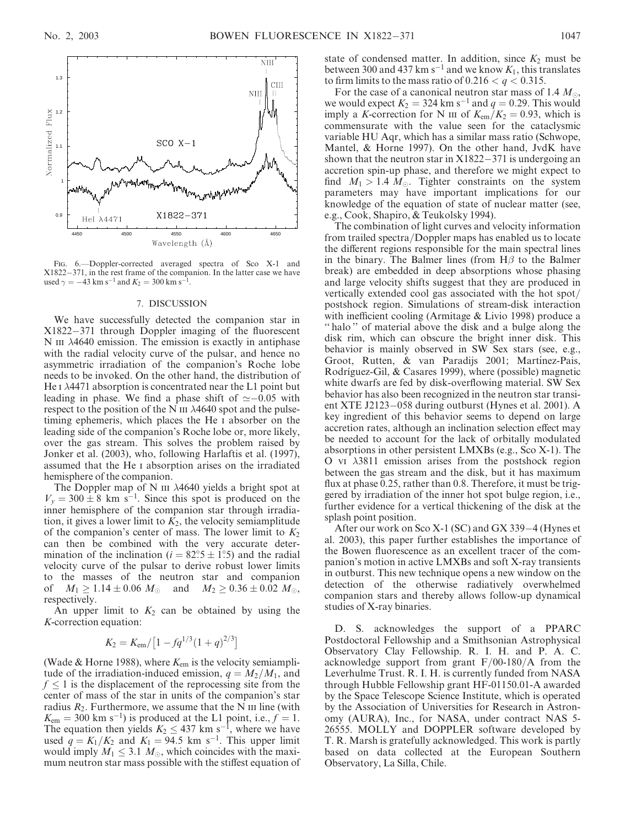

Fig. 6.—Doppler-corrected averaged spectra of Sco X-1 and  $X1822-371$ , in the rest frame of the companion. In the latter case we have used  $\gamma = -43$  km s<sup>-1</sup> and  $K_2 = 300$  km s<sup>-1</sup>.

#### 7. DISCUSSION

We have successfully detected the companion star in  $X1822-371$  through Doppler imaging of the fluorescent  $N$  III  $\lambda$ 4640 emission. The emission is exactly in antiphase with the radial velocity curve of the pulsar, and hence no asymmetric irradiation of the companion's Roche lobe needs to be invoked. On the other hand, the distribution of He  $I$   $\lambda$ 4471 absorption is concentrated near the L1 point but leading in phase. We find a phase shift of  $\approx -0.05$  with respect to the position of the N  $\text{III}$   $\lambda$ 4640 spot and the pulsetiming ephemeris, which places the He i absorber on the leading side of the companion's Roche lobe or, more likely, over the gas stream. This solves the problem raised by Jonker et al. (2003), who, following Harlaftis et al. (1997), assumed that the He i absorption arises on the irradiated hemisphere of the companion.

The Doppler map of N  $\scriptstyle\rm III$   $\lambda4640$  yields a bright spot at  $V_v = 300 \pm 8$  km s<sup>-1</sup>. Since this spot is produced on the inner hemisphere of the companion star through irradiation, it gives a lower limit to  $K_2$ , the velocity semiamplitude of the companion's center of mass. The lower limit to  $K_2$ can then be combined with the very accurate determination of the inclination ( $i = 82^\circ.5 \pm 1^\circ.5$ ) and the radial velocity curve of the pulsar to derive robust lower limits to the masses of the neutron star and companion of  $M_1 \ge 1.14 \pm 0.06$   $M_{\odot}$  and  $M_2 \ge 0.36 \pm 0.02$   $M_{\odot}$ , respectively.

An upper limit to  $K_2$  can be obtained by using the K-correction equation:

$$
K_2 = K_{\rm em} / \left[ 1 - f q^{1/3} (1 + q)^{2/3} \right]
$$

(Wade & Horne 1988), where  $K_{\text{em}}$  is the velocity semiamplitude of the irradiation-induced emission,  $q = M_2/M_1$ , and  $f \leq 1$  is the displacement of the reprocessing site from the center of mass of the star in units of the companion's star radius  $R_2$ . Furthermore, we assume that the N  $\text{III}$  line (with  $K_{\text{em}} = 300 \text{ km s}^{-1}$ ) is produced at the L1 point, i.e.,  $f = 1$ . The equation then yields  $K_2 \leq 437$  km s<sup>-1</sup>, where we have used  $q = K_1/K_2$  and  $K_1 = 94.5$  km s<sup>-1</sup>. This upper limit would imply  $M_1 \leq 3.1$   $M_{\odot}$ , which coincides with the maximum neutron star mass possible with the stiffest equation of state of condensed matter. In addition, since  $K_2$  must be between 300 and 437 km s<sup>-1</sup> and we know  $K_1$ , this translates to firm limits to the mass ratio of  $0.216 < q < 0.315$ .

For the case of a canonical neutron star mass of 1.4  $M_{\odot}$ , we would expect  $K_2 = 324$  km s<sup>-1</sup> and  $q = 0.29$ . This would imply a K-correction for N III of  $K_{\text{em}}/K_2 = 0.93$ , which is commensurate with the value seen for the cataclysmic variable HU Aqr, which has a similar mass ratio (Schwope, Mantel, & Horne 1997). On the other hand, JvdK have shown that the neutron star in  $X1822-371$  is undergoing an accretion spin-up phase, and therefore we might expect to find  $M_1 > 1.4$   $M_{\odot}$ . Tighter constraints on the system parameters may have important implications for our knowledge of the equation of state of nuclear matter (see, e.g., Cook, Shapiro, & Teukolsky 1994).

The combination of light curves and velocity information from trailed spectra/Doppler maps has enabled us to locate the different regions responsible for the main spectral lines in the binary. The Balmer lines (from  $H\beta$  to the Balmer break) are embedded in deep absorptions whose phasing and large velocity shifts suggest that they are produced in vertically extended cool gas associated with the hot spot/ postshock region. Simulations of stream-disk interaction with inefficient cooling (Armitage & Livio 1998) produce a '' halo '' of material above the disk and a bulge along the disk rim, which can obscure the bright inner disk. This behavior is mainly observed in SW Sex stars (see, e.g., Groot, Rutten, & van Paradijs 2001; Martínez-Pais, Rodríguez-Gil, & Casares 1999), where (possible) magnetic white dwarfs are fed by disk-overflowing material. SW Sex behavior has also been recognized in the neutron star transient XTE J2123-058 during outburst (Hynes et al. 2001). A key ingredient of this behavior seems to depend on large accretion rates, although an inclination selection effect may be needed to account for the lack of orbitally modulated absorptions in other persistent LMXBs (e.g., Sco X-1). The O vi  $\lambda$ 3811 emission arises from the postshock region between the gas stream and the disk, but it has maximum flux at phase 0.25, rather than 0.8. Therefore, it must be triggered by irradiation of the inner hot spot bulge region, i.e., further evidence for a vertical thickening of the disk at the splash point position.

After our work on Sco X-1 (SC) and GX 339 $-4$  (Hynes et al. 2003), this paper further establishes the importance of the Bowen fluorescence as an excellent tracer of the companion's motion in active LMXBs and soft X-ray transients in outburst. This new technique opens a new window on the detection of the otherwise radiatively overwhelmed companion stars and thereby allows follow-up dynamical studies of X-ray binaries.

D. S. acknowledges the support of a PPARC Postdoctoral Fellowship and a Smithsonian Astrophysical Observatory Clay Fellowship. R. I. H. and P. A. C. acknowledge support from grant  $F/00-180/A$  from the Leverhulme Trust. R. I. H. is currently funded from NASA through Hubble Fellowship grant HF-01150.01-A awarded by the Space Telescope Science Institute, which is operated by the Association of Universities for Research in Astronomy (AURA), Inc., for NASA, under contract NAS 5- 26555. MOLLY and DOPPLER software developed by T. R. Marsh is gratefully acknowledged. This work is partly based on data collected at the European Southern Observatory, La Silla, Chile.